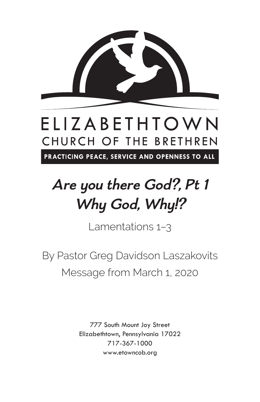

# ELIZABETHTOWN CHURCH OF THE BRETHREN

PRACTICING PEACE, SERVICE AND OPENNESS TO ALL

# **Are you there God?, Pt 1 Why God, Why!?**

Lamentations 1–3

By Pastor Greg Davidson Laszakovits Message from March 1, 2020

> 777 South Mount Joy Street Elizabethtown, Pennsylvania 17022 717-367-1000 www.etowncob.org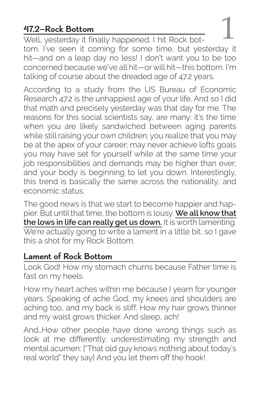## **47.2—Rock Bottom**

Well, yesterday it finally happened. I hit Rock bottom. I've seen it coming for some time, but yesterday it hit—and on a leap day no less! I don't want you to be too concerned because we've all hit—or will hit—this bottom. I'm talking of course about the dreaded age of 47.2 years.

According to a study from the US Bureau of Economic Research 47.2 is the unhappiest age of your life. And so I did that math and precisely yesterday was that day for me. The reasons for this social scientists say, are many: it's the time when you are likely sandwiched between aging parents while still raising your own children; you realize that you may be at the apex of your career; may never achieve lofts goals you may have set for yourself while at the same time your job responsibilities and demands may be higher than ever; and your body is beginning to let you down. Interestingly, this trend is basically the same across the nationality, and economic status.

The good news is that we start to become happier and happier. But until that time, the bottom is lousy. **We all know that the lows in life can really get us down.** It is worth lamenting. We're actually going to write a lament in a little bit, so I gave this a shot for my Rock Bottom.

### **Lament of Rock Bottom**

Look God! How my stomach churns because Father time is fast on my heels.

How my heart aches within me because I yearn for younger years. Speaking of ache God, my knees and shoulders are aching too, and my back is stiff. How my hair grows thinner and my waist grows thicker. And sleep, ach!

And…How other people have done wrong things such as look at me differently, underestimating my strength and mental acumen: ["That old guy knows nothing about today's real world" they say] And you let them off the hook!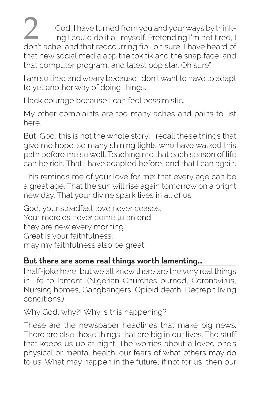2 God, I have turned from you and your ways by think-<br>ing I could do it all myself. Pretending I'm not tired, I don't ache, and that reoccurring fib: "oh sure, I have heard of that new social media app the tok tik and the snap face, and that computer program, and latest pop star. Oh sure"

I am so tired and weary because I don't want to have to adapt to yet another way of doing things.

I lack courage because I can feel pessimistic.

My other complaints are too many aches and pains to list here.

But, God, this is not the whole story, I recall these things that give me hope: so many shining lights who have walked this path before me so well. Teaching me that each season of life can be rich. That I have adapted before, and that I can again.

This reminds me of your love for me: that every age can be a great age. That the sun will rise again tomorrow on a bright new day. That your divine spark lives in all of us.

God, your steadfast love never ceases, Your mercies never come to an end, they are new every morning. Great is your faithfulness; may my faithfulness also be great.

#### **But there are some real things worth lamenting…**

I half-joke here, but we all know there are the very real things in life to lament. (Nigerian Churches burned, Coronavirus, Nursing homes, Gangbangers, Opioid death, Decrepit living conditions.)

Why God, why?! Why is this happening?

These are the newspaper headlines that make big news. There are also those things that are big in our lives. The stuff that keeps us up at night. The worries about a loved one's physical or mental health; our fears of what others may do to us. What may happen in the future, if not for us, then our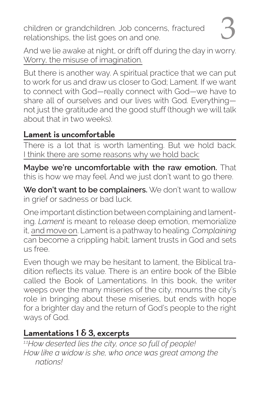children or grandchildren. Job concerns, fractured children or grandchildren. Job concerns, fractured<br>relationships, the list goes on and one.

But there is another way. A spiritual practice that we can put to work for us and draw us closer to God; Lament. If we want to connect with God—really connect with God—we have to share all of ourselves and our lives with God. Everything not just the gratitude and the good stuff (though we will talk about that in two weeks).

#### **Lament is uncomfortable**

There is a lot that is worth lamenting. But we hold back. I think there are some reasons why we hold back:

**Maybe we're uncomfortable with the raw emotion.** That this is how we may feel. And we just don't want to go there.

**We don't want to be complainers.** We don't want to wallow in grief or sadness or bad luck.

One important distinction between complaining and lamenting. *Lament* is meant to release deep emotion, memorialize it, and move on. Lament is a pathway to healing. *Complaining* can become a crippling habit; lament trusts in God and sets us free.

Even though we may be hesitant to lament, the Biblical tradition reflects its value. There is an entire book of the Bible called the Book of Lamentations. In this book, the writer weeps over the many miseries of the city, mourns the city's role in bringing about these miseries, but ends with hope for a brighter day and the return of God's people to the right ways of God.

# **Lamentations 1 & 3, excerpts**

*1.1How deserted lies the city, once so full of people! How like a widow is she, who once was great among the nations!*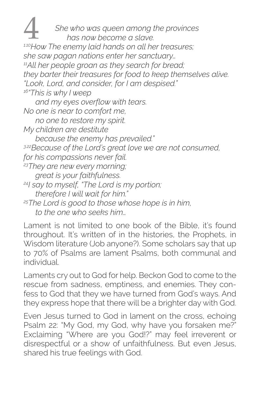4 *She who was queen among the provinces has now become a slave. 1.10How The enemy laid hands on all her treasures; she saw pagan nations enter her sanctuary… 11All her people groan as they search for bread; they barter their treasures for food to keep themselves alive. "Look, Lord, and consider, for I am despised." 16"This is why I weep and my eyes overflow with tears. No one is near to comfort me, no one to restore my spirit. My children are destitute because the enemy has prevailed." 3.22Because of the Lord's great love we are not consumed, for his compassions never fail. 23They are new every morning; great is your faithfulness. 24I say to myself, "The Lord is my portion; therefore I will wait for him." 25The Lord is good to those whose hope is in him, to the one who seeks him…*

Lament is not limited to one book of the Bible, it's found throughout. It's written of in the histories, the Prophets, in Wisdom literature (Job anyone?). Some scholars say that up to 70% of Psalms are lament Psalms, both communal and individual.

Laments cry out to God for help. Beckon God to come to the rescue from sadness, emptiness, and enemies. They confess to God that they we have turned from God's ways. And they express hope that there will be a brighter day with God.

Even Jesus turned to God in lament on the cross, echoing Psalm 22: "My God, my God, why have you forsaken me?" Exclaiming "Where are you God!?" may feel irreverent or disrespectful or a show of unfaithfulness. But even Jesus, shared his true feelings with God.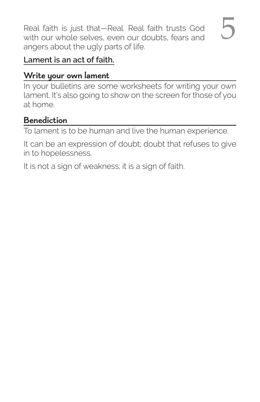Real faith is just that—Real. Real faith trusts God Real faith is just that—Real. Real faith trusts God<br>with our whole selves, even our doubts, fears and angers about the ugly parts of life.

#### **Lament is an act of faith.**

#### **Write your own lament**

In your bulletins are some worksheets for writing your own lament. It's also going to show on the screen for those of you at home.

#### **Benediction**

To lament is to be human and live the human experience.

It can be an expression of doubt; doubt that refuses to give in to hopelessness.

It is not a sign of weakness; it is a sign of faith.